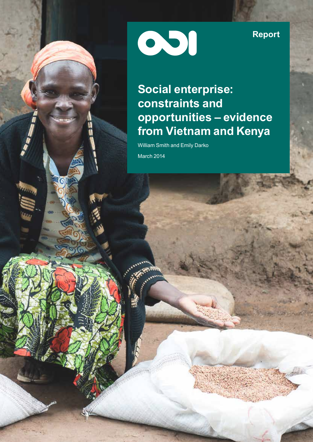001

**Report**

# **Social enterprise: constraints and opportunities – evidence from Vietnam and Kenya**

William Smith and Emily Darko March 2014

л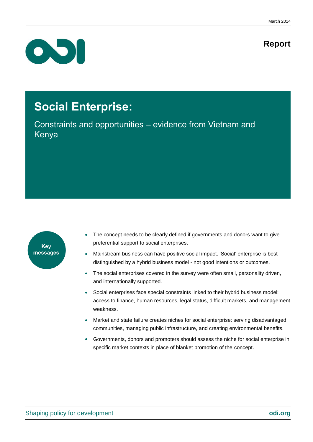# **Report**



# **Social Enterprise:**

Constraints and opportunities – evidence from Vietnam and Kenya



- The concept needs to be clearly defined if governments and donors want to give preferential support to social enterprises.
- Mainstream business can have positive social impact. 'Social' enterprise is best distinguished by a hybrid business model - not good intentions or outcomes.
- The social enterprises covered in the survey were often small, personality driven, and internationally supported.
- Social enterprises face special constraints linked to their hybrid business model: access to finance, human resources, legal status, difficult markets, and management weakness.
- Market and state failure creates niches for social enterprise: serving disadvantaged communities, managing public infrastructure, and creating environmental benefits.
- Governments, donors and promoters should assess the niche for social enterprise in specific market contexts in place of blanket promotion of the concept.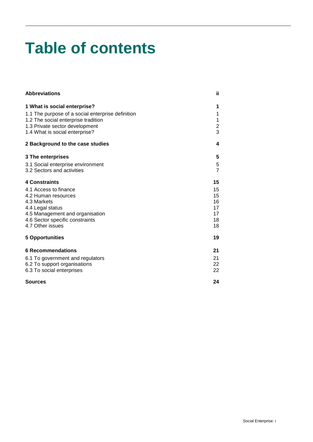# **Table of contents**

| <b>Abbreviations</b>                                                  | ij                  |
|-----------------------------------------------------------------------|---------------------|
| 1 What is social enterprise?                                          | 1                   |
| 1.1 The purpose of a social enterprise definition                     | 1                   |
| 1.2 The social enterprise tradition<br>1.3 Private sector development | 1<br>$\overline{2}$ |
| 1.4 What is social enterprise?                                        | 3                   |
| 2 Background to the case studies                                      | 4                   |
| <b>3 The enterprises</b>                                              | 5                   |
| 3.1 Social enterprise environment                                     | 5                   |
| 3.2 Sectors and activities                                            | $\overline{7}$      |
| <b>4 Constraints</b>                                                  | 15                  |
| 4.1 Access to finance                                                 | 15                  |
| 4.2 Human resources                                                   | 15                  |
| 4.3 Markets<br>4.4 Legal status                                       | 16<br>17            |
| 4.5 Management and organisation                                       | 17                  |
| 4.6 Sector specific constraints                                       | 18                  |
| 4.7 Other issues                                                      | 18                  |
| <b>5 Opportunities</b>                                                | 19                  |
| <b>6 Recommendations</b>                                              | 21                  |
| 6.1 To government and regulators                                      | 21                  |
| 6.2 To support organisations                                          | 22                  |
| 6.3 To social enterprises                                             | 22                  |
| <b>Sources</b>                                                        | 24                  |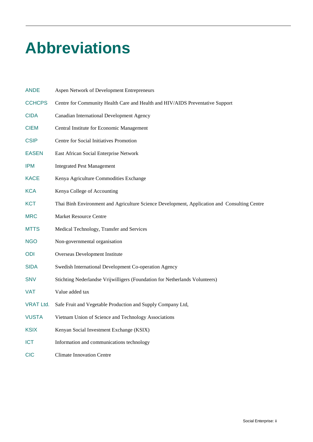# <span id="page-4-0"></span>**Abbreviations**

| <b>ANDE</b>      | Aspen Network of Development Entrepreneurs                                                   |
|------------------|----------------------------------------------------------------------------------------------|
| <b>CCHCPS</b>    | Centre for Community Health Care and Health and HIV/AIDS Preventative Support                |
| <b>CIDA</b>      | Canadian International Development Agency                                                    |
| <b>CIEM</b>      | Central Institute for Economic Management                                                    |
| <b>CSIP</b>      | Centre for Social Initiatives Promotion                                                      |
| <b>EASEN</b>     | East African Social Enterprise Network                                                       |
| <b>IPM</b>       | <b>Integrated Pest Management</b>                                                            |
| <b>KACE</b>      | Kenya Agriculture Commodities Exchange                                                       |
| <b>KCA</b>       | Kenya College of Accounting                                                                  |
| <b>KCT</b>       | Thai Binh Environment and Agriculture Science Development, Application and Consulting Centre |
| <b>MRC</b>       | <b>Market Resource Centre</b>                                                                |
| <b>MTTS</b>      | Medical Technology, Transfer and Services                                                    |
| <b>NGO</b>       | Non-governmental organisation                                                                |
| ODI              | Overseas Development Institute                                                               |
| <b>SIDA</b>      | Swedish International Development Co-operation Agency                                        |
| <b>SNV</b>       | Stichting Nederlandse Vrijwilligers (Foundation for Netherlands Volunteers)                  |
| <b>VAT</b>       | Value added tax                                                                              |
| <b>VRAT Ltd.</b> | Safe Fruit and Vegetable Production and Supply Company Ltd,                                  |
| <b>VUSTA</b>     | Vietnam Union of Science and Technology Associations                                         |
| <b>KSIX</b>      | Kenyan Social Investment Exchange (KSIX)                                                     |
| <b>ICT</b>       | Information and communications technology                                                    |
| <b>CIC</b>       | <b>Climate Innovation Centre</b>                                                             |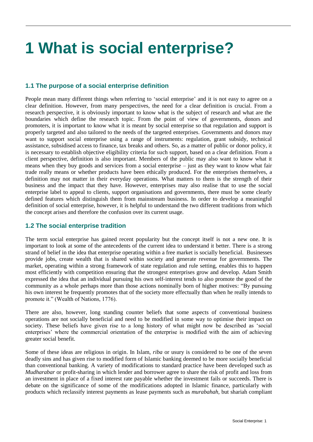# <span id="page-5-0"></span>**1 What is social enterprise?**

## <span id="page-5-1"></span>**1.1 The purpose of a social enterprise definition**

People mean many different things when referring to 'social enterprise' and it is not easy to agree on a clear definition. However, from many perspectives, the need for a clear definition is crucial. From a research perspective, it is obviously important to know what is the subject of research and what are the boundaries which define the research topic. From the point of view of governments, donors and promoters, it is important to know what it is meant by social enterprise so that regulation and support is properly targeted and also tailored to the needs of the targeted enterprises. Governments and donors may want to support social enterprise using a range of instruments: regulation, grant subsidy, technical assistance, subsidised access to finance, tax breaks and others. So, as a matter of public or donor policy, it is necessary to establish objective eligibility criteria for such support, based on a clear definition. From a client perspective, definition is also important. Members of the public may also want to know what it means when they buy goods and services from a social enterprise – just as they want to know what fair trade really means or whether products have been ethically produced. For the enterprises themselves, a definition may not matter in their everyday operations. What matters to them is the strength of their business and the impact that they have. However, enterprises may also realise that to use the social enterprise label to appeal to clients, support organisations and governments, there must be some clearly defined features which distinguish them from mainstream business. In order to develop a meaningful definition of social enterprise, however, it is helpful to understand the two different traditions from which the concept arises and therefore the confusion over its current usage.

## <span id="page-5-2"></span>**1.2 The social enterprise tradition**

The term social enterprise has gained recent popularity but the concept itself is not a new one. It is important to look at some of the antecedents of the current idea to understand it better. There is a strong strand of belief in the idea that enterprise operating within a free market is socially beneficial. Businesses provide jobs, create wealth that is shared within society and generate revenue for governments. The market, operating within a strong framework of state regulation and rule setting, enables this to happen most efficiently with competition ensuring that the strongest enterprises grow and develop. Adam Smith expressed the idea that an individual pursuing his own self‐interest tends to also promote the good of the community as a whole perhaps more than those actions nominally born of higher motives: "By pursuing his own interest he frequently promotes that of the society more effectually than when he really intends to promote it." (Wealth of Nations, 1776).

There are also, however, long standing counter beliefs that some aspects of conventional business operations are not socially beneficial and need to be modified in some way to optimise their impact on society. These beliefs have given rise to a long history of what might now be described as 'social enterprises' where the commercial orientation of the enterprise is modified with the aim of achieving greater social benefit.

Some of these ideas are religious in origin. In Islam, *riba* or usury is considered to be one of the seven deadly sins and has given rise to modified form of Islamic banking deemed to be more socially beneficial than conventional banking. A variety of modifications to standard practice have been developed such as *Mudharabar* or profit-sharing in which lender and borrower agree to share the risk of profit and loss from an investment in place of a fixed interest rate payable whether the investment fails or succeeds. There is debate on the significance of some of the modifications adopted in Islamic finance, particularly with products which reclassify interest payments as lease payments such as *murabahah*, but shariah compliant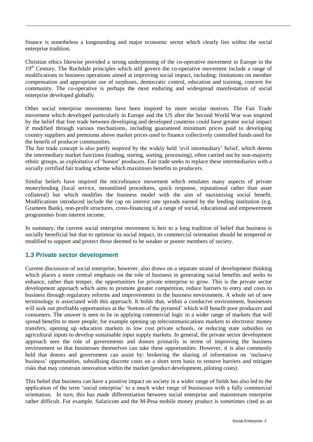finance is nonetheless a longstanding and major economic sector which clearly lies within the social enterprise tradition.

Christian ethics likewise provided a strong underpinning of the co-operative movement in Europe in the 19<sup>th</sup> Century. The Rochdale principles which still govern the co-operative movement include a range of modifications to business operations aimed at improving social impact, including: limitations on member compensation and appropriate use of surpluses, democratic control, education and training, concern for community. The co-operative is perhaps the most enduring and widespread manifestation of social enterprise developed globally.

Other social enterprise movements have been inspired by more secular motives. The Fair Trade movement which developed particularly in Europe and the US after the Second World War was inspired by the belief that free trade between developing and developed countries could have greater social impact if modified through various mechanisms, including guaranteed minimum prices paid to developing country suppliers and premiums above market prices used to finance collectively controlled funds used for the benefit of producer communities.

The fair trade concept is also partly inspired by the widely held 'evil intermediary' belief, which deems the intermediary market functions (trading, storing, sorting, processing), often carried out by non-majority ethnic groups, as exploitative of 'honest' producers. Fair trade seeks to replace these intermediaries with a socially certified fair trading scheme which maximises benefits to producers.

Similar beliefs have inspired the microfinance movement which emulates many aspects of private moneylending (local service, streamlined procedures, quick response, reputational rather than asset collateral) but which modifies the business model with the aim of maximising social benefit. Modifications introduced include the cap on interest rate spreads earned by the lending institution (e.g. Grameen Bank), non-profit structures, cross-financing of a range of social, educational and empowerment programmes from interest income.

In summary, the current social enterprise movement is heir to a long tradition of belief that business is socially beneficial but that to optimise its social impact, its commercial orientation should be tempered or modified to support and protect those deemed to be weaker or poorer members of society.

## <span id="page-6-0"></span>**1.3 Private sector development**

Current discussion of social enterprise, however, also draws on a separate strand of development thinking which places a more central emphasis on the role of business in generating social benefits and seeks to enhance, rather than temper, the opportunities for private enterprise to grow. This is the private sector development approach which aims to promote greater competition, reduce barriers to entry and costs to business through regulatory reforms and improvements in the business environment. A whole set of new terminology is associated with this approach. It holds that, within a conducive environment, businesses will seek out profitable opportunities at the 'bottom of the pyramid' which will benefit poor producers and consumers. The answer is seen to lie in applying commercial logic in a wider range of markets that will spread benefits to more people; for example opening up telecommunications markets to electronic money transfers, opening up education markets to low cost private schools, or reducing state subsidies on agricultural inputs to develop sustainable input supply markets. In general, the private sector development approach sees the role of governments and donors primarily in terms of improving the business environment so that businesses themselves can take these opportunities. However, it is also commonly held that donors and government can assist by: brokering the sharing of information on 'inclusive business' opportunities, subsidising discrete costs on a short term basis to remove barriers and mitigate risks that may constrain innovation within the market (product development, piloting costs).

This belief that business can have a positive impact on society in a wider range of fields has also led to the application of the term 'social enterprise' to a much wider range of businesses with a fully commercial orientation. In turn, this has made differentiation between social enterprise and mainstream enterprise rather difficult. For example, Safaricom and the M-Pesa mobile money product is sometimes cited as an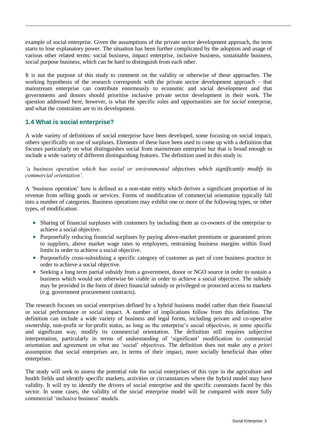example of social enterprise. Given the assumptions of the private sector development approach, the term starts to lose explanatory power. The situation has been further complicated by the adoption and usage of various other related terms: social business, impact enterprise, inclusive business, sustainable business, social purpose business, which can be hard to distinguish from each other.

It is not the purpose of this study to comment on the validity or otherwise of these approaches. The working hypothesis of the research corresponds with the private sector development approach – that mainstream enterprise can contribute enormously to economic and social development and that governments and donors should prioritise inclusive private sector development in their work. The question addressed here, however, is what the specific roles and opportunities are for *social* enterprise, and what the constraints are to its development.

### <span id="page-7-0"></span>**1.4 What is social enterprise?**

A wide variety of definitions of social enterprise have been developed, some focusing on social impact, others specifically on use of surpluses. Elements of these have been used to come up with a definition that focuses particularly on what distinguishes social from mainstream enterprise but that is broad enough to include a wide variety of different distinguishing features. The definition used in this study is:

*'a business operation which has social or environmental objectives which significantly modify its commercial orientation'.*

A 'business operation' here is defined as a non-state entity which derives a significant proportion of its revenue from selling goods or services. Forms of modification of commercial orientation typically fall into a number of categories. Business operations may exhibit one or more of the following types, or other types, of modification:

- Sharing of financial surpluses with customers by including them as co-owners of the enterprise to achieve a social objective.
- Purposefully reducing financial surpluses by paying above-market premiums or guaranteed prices to suppliers, above market wage rates to employees, restraining business margins within fixed limits in order to achieve a social objective.
- Purposefully cross-subsidising a specific category of customer as part of core business practice in order to achieve a social objective.
- Seeking a long term partial subsidy from a government, donor or NGO source in order to sustain a business which would not otherwise be viable in order to achieve a social objective. The subsidy may be provided in the form of direct financial subsidy or privileged or protected access to markets (e.g. government procurement contracts).

The research focuses on social enterprises defined by a hybrid business model rather than their financial or social performance or social impact. A number of implications follow from this definition. The definition can include a wide variety of business and legal forms, including private and co-operative ownership, non-profit or for-profit status, as long as the enterprise's social objectives, in some specific and significant way, modify its commercial orientation. The definition still requires subjective interpretation, particularly in terms of understanding of 'significant' modification to commercial orientation and agreement on what are 'social' objectives. The definition does not make any *a priori* assumption that social enterprises are, in terms of their impact, more socially beneficial than other enterprises.

The study will seek to assess the potential role for social enterprises of this type in the agriculture and health fields and identify specific markets, activities or circumstances where the hybrid model may have validity. It will try to identify the drivers of social enterprise and the specific constraints faced by this sector. In some cases, the validity of the social enterprise model will be compared with more fully commercial 'inclusive business' models.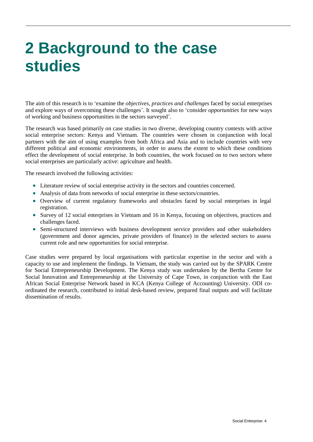# <span id="page-8-0"></span>**2 Background to the case studies**

The aim of this research is to 'examine the *objectives, practices and challenges* faced by social enterprises and explore ways of overcoming these challenges'. It sought also to 'consider *opportunities* for new ways of working and business opportunities in the sectors surveyed'.

The research was based primarily on case studies in two diverse, developing country contexts with active social enterprise sectors: Kenya and Vietnam. The countries were chosen in conjunction with local partners with the aim of using examples from both Africa and Asia and to include countries with very different political and economic environments, in order to assess the extent to which these conditions effect the development of social enterprise. In both countries, the work focused on to two sectors where social enterprises are particularly active: agriculture and health.

The research involved the following activities:

- Literature review of social enterprise activity in the sectors and countries concerned.
- Analysis of data from networks of social enterprise in these sectors/countries.
- Overview of current regulatory frameworks and obstacles faced by social enterprises in legal registration.
- Survey of 12 social enterprises in Vietnam and 16 in Kenya, focusing on objectives, practices and challenges faced.
- Semi-structured interviews with business development service providers and other stakeholders (government and donor agencies, private providers of finance) in the selected sectors to assess current role and new opportunities for social enterprise.

Case studies were prepared by local organisations with particular expertise in the sector and with a capacity to use and implement the findings. In Vietnam, the study was carried out by the SPARK Centre for Social Entrepreneurship Development. The Kenya study was undertaken by the Bertha Centre for Social Innovation and Entrepreneurship at the University of Cape Town, in conjunction with the East African Social Enterprise Network based in KCA (Kenya College of Accounting) University. ODI coordinated the research, contributed to initial desk-based review, prepared final outputs and will facilitate dissemination of results.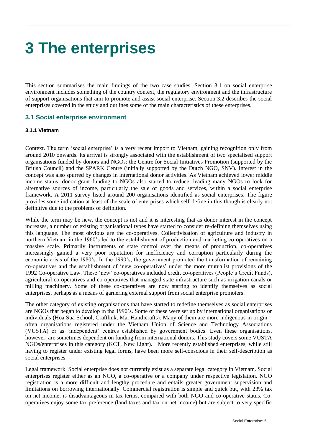# <span id="page-9-0"></span>**3 The enterprises**

This section summarises the main findings of the two case studies. Section 3.1 on social enterprise environment includes something of the country context, the regulatory environment and the infrastructure of support organisations that aim to promote and assist social enterprise. Section 3.2 describes the social enterprises covered in the study and outlines some of the main characteristics of these enterprises.

#### <span id="page-9-1"></span>**3.1 Social enterprise environment**

#### **3.1.1 Vietnam**

Context. The term 'social enterprise' is a very recent import to Vietnam, gaining recognition only from around 2010 onwards. Its arrival is strongly associated with the establishment of two specialised support organisations funded by donors and NGOs: the Centre for Social Initiatives Promotion (supported by the British Council) and the SPARK Centre (initially supported by the Dutch NGO, SNV). Interest in the concept was also spurred by changes in international donor activities. As Vietnam achieved lower middle income status, donor grant funding to NGOs also started to reduce, leading many NGOs to look for alternative sources of income, particularly the sale of goods and services, within a social enterprise framework. A 2011 survey listed around 200 organisations identified as social enterprises. The figure provides some indication at least of the scale of enterprises which self-define in this though is clearly not definitive due to the problems of definition.

While the term may be new, the concept is not and it is interesting that as donor interest in the concept increases, a number of existing organisational types have started to consider re-defining themselves using this language. The most obvious are the co-operatives. Collectivisation of agriculture and industry in northern Vietnam in the 1960's led to the establishment of production and marketing co-operatives on a massive scale. Primarily instruments of state control over the means of production, co-operatives increasingly gained a very poor reputation for inefficiency and corruption particularly during the economic crisis of the 1980's. In the 1990's, the government promoted the transformation of remaining co-operatives and the establishment of 'new co-operatives' under the more mutualist provisions of the 1992 Co-operative Law. These 'new' co-operatives included credit co-operatives (People's Credit Funds), agricultural co-operatives and co-operatives that managed state infrastructure such as irrigation canals or milling machinery. Some of these co-operatives are now starting to identify themselves as social enterprises, perhaps as a means of garnering external support from social enterprise promoters.

The other category of existing organisations that have started to redefine themselves as social enterprises are NGOs that began to develop in the 1990's. Some of these were set up by international organisations or individuals (Hoa Sua School, Craftlink, Mai Handicrafts). Many of them are more indigenous in origin – often organisations registered under the Vietnam Union of Science and Technology Associations (VUSTA) or as 'independent' centres established by government bodies. Even these organisations, however, are sometimes dependent on funding from international donors. This study covers some VUSTA NGOs/enterprises in this category (KCT, New Light). More recently established enterprises, while still having to register under existing legal forms, have been more self-conscious in their self-description as social enterprises.

Legal framework. Social enterprise does not currently exist as a separate legal category in Vietnam. Social enterprises register either as an NGO, a co-operative or a company under respective legislation. NGO registration is a more difficult and lengthy procedure and entails greater government supervision and limitations on borrowing internationally. Commercial registration is simple and quick but, with 23% tax on net income, is disadvantageous in tax terms, compared with both NGO and co-operative status. Cooperatives enjoy some tax preference (land taxes and tax on net income) but are subject to very specific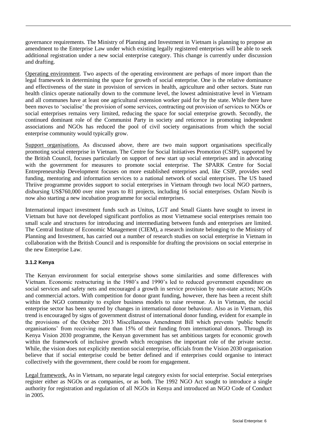governance requirements. The Ministry of Planning and Investment in Vietnam is planning to propose an amendment to the Enterprise Law under which existing legally registered enterprises will be able to seek additional registration under a new social enterprise category. This change is currently under discussion and drafting.

Operating environment. Two aspects of the operating environment are perhaps of more import than the legal framework in determining the space for growth of social enterprise. One is the relative dominance and effectiveness of the state in provision of services in health, agriculture and other sectors. State run health clinics operate nationally down to the commune level, the lowest administrative level in Vietnam and all communes have at least one agricultural extension worker paid for by the state. While there have been moves to 'socialise' the provision of some services, contracting out provision of services to NGOs or social enterprises remains very limited, reducing the space for social enterprise growth. Secondly, the continued dominant role of the Communist Party in society and reticence in promoting independent associations and NGOs has reduced the pool of civil society organisations from which the social enterprise community would typically grow.

Support organisations. As discussed above, there are two main support organisations specifically promoting social enterprise in Vietnam. The Centre for Social Initiatives Promotion (CSIP), supported by the British Council, focuses particularly on support of new start up social enterprises and in advocating with the government for measures to promote social enterprise. The SPARK Centre for Social Entrepreneurship Development focuses on more established enterprises and, like CSIP, provides seed funding, mentoring and information services to a national network of social enterprises. The US based Thriive programme provides support to social enterprises in Vietnam through two local NGO partners, disbursing US\$760,000 over nine years to 81 projects, including 16 social enterprises. Oxfam Novib is now also starting a new incubation programme for social enterprises.

International impact investment funds such as Unitus, LGT and Small Giants have sought to invest in Vietnam but have not developed significant portfolios as most Vietnamese social enterprises remain too small scale and structures for introducing and intermediating between funds and enterprises are limited. The Central Institute of Economic Management (CIEM), a research institute belonging to the Ministry of Planning and Investment, has carried out a number of research studies on social enterprise in Vietnam in collaboration with the British Council and is responsible for drafting the provisions on social enterprise in the new Enterprise Law.

#### **3.1.2 Kenya**

The Kenyan environment for social enterprise shows some similarities and some differences with Vietnam. Economic restructuring in the 1980's and 1990's led to reduced government expenditure on social services and safety nets and encouraged a growth in service provision by non-state actors; NGOs and commercial actors. With competition for donor grant funding, however, there has been a recent shift within the NGO community to explore business models to raise revenue. As in Vietnam, the social enterprise sector has been spurred by changes in international donor behaviour. Also as in Vietnam, this trend is encouraged by signs of government distrust of international donor funding, evident for example in the provisions of the October 2013 Miscellaneous Amendment Bill which prevents 'public benefit organisations' from receiving more than 15% of their funding from international donors. Through its Kenya Vision 2030 programme, the Kenyan government has set ambitious targets for economic growth within the framework of inclusive growth which recognises the important role of the private sector. While, the vision does not explicitly mention social enterprise, officials from the Vision 2030 organisation believe that if social enterprise could be better defined and if enterprises could organise to interact collectively with the government, there could be room for engagement.

Legal framework. As in Vietnam, no separate legal category exists for social enterprise. Social enterprises register either as NGOs or as companies, or as both. The 1992 NGO Act sought to introduce a single authority for registration and regulation of all NGOs in Kenya and introduced an NGO Code of Conduct in 2005.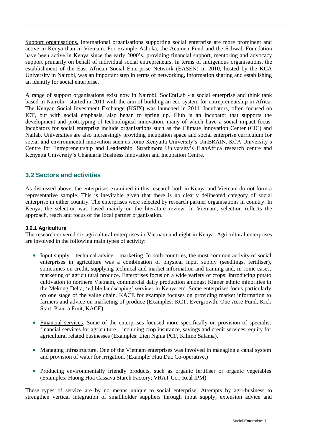Support organisations. International organisations supporting social enterprise are more prominent and active in Kenya than in Vietnam. For example Ashoka, the Acumen Fund and the Schwab Foundation have been active in Kenya since the early 2000's, providing financial support, mentoring and advocacy support primarily on behalf of individual social entrepreneurs. In terms of indigenous organisations, the establishment of the East African Social Enterprise Network (EASEN) in 2010, hosted by the KCA University in Nairobi, was an important step in terms of networking, information sharing and establishing an identify for social enterprise.

A range of support organisations exist now in Nairobi. SocEntLab - a social enterprise and think tank based in Nairobi - started in 2011 with the aim of building an eco-system for entrepreneurship in Africa. The Kenyan Social Investment Exchange (KSIX) was launched in 2011. Incubators, often focused on ICT, but with social emphasis, also began to spring up. iHub is an incubator that supports the development and prototyping of technological innovation, many of which have a social impact focus. Incubators for social enterprise include organisations such as the Climate Innovation Center (CIC) and Nailab. Universities are also increasingly providing incubation space and social enterprise curriculum for social and environmental innovation such as Jomo Kenyatta University's UniBRAIN, KCA University's Centre for Entrepreneurship and Leadership, Strathmore University's iLabAfrica research centre and Kenyatta University's Chandaria Business Innovation and Incubation Centre.

### <span id="page-11-0"></span>**3.2 Sectors and activities**

As discussed above, the enterprises examined in this research both in Kenya and Vietnam do not form a representative sample. This is inevitable given that there is no clearly delineated category of social enterprise in either country. The enterprises were selected by research partner organisations in country. In Kenya, the selection was based mainly on the literature review. In Vietnam, selection reflects the approach, reach and focus of the local partner organisation.

#### **3.2.1 Agriculture**

The research covered six agricultural enterprises in Vietnam and eight in Kenya. Agricultural enterprises are involved in the following main types of activity:

- Input supply technical advice marketing. In both countries, the most common activity of social enterprises in agriculture was a combination of physical input supply (seedlings, fertiliser), sometimes on credit, supplying technical and market information and training and, in some cases, marketing of agricultural produce. Enterprises focus on a wide variety of crops: introducing potato cultivation to northern Vietnam, commercial dairy production amongst Khmer ethnic minorities in the Mekong Delta, 'edible landscaping' services in Kenya etc. Some enterprises focus particularly on one stage of the value chain. KACE for example focuses on providing market information to farmers and advice on marketing of produce (Examples: KCT, Evergrowth, One Acre Fund, Kick Start, Plant a Fruit, KACE)
- Financial services. Some of the enterprises focused more specifically on provision of specialist financial services for agriculture – including crop insurance, savings and credit services, equity for agricultural related businesses (Examples: Lien Nghia PCF, Kilimo Salama).
- Managing infrastructure. One of the Vietnam enterprises was involved in managing a canal system and provision of water for irrigation. (Example: Huu Duc Co-operative,)
- Producing environmentally friendly products, such as organic fertiliser or organic vegetables (Examples: Huong Hoa Cassava Starch Factory; VRAT Co.; Real IPM)

These types of service are by no means unique to social enterprise. Attempts by agri-business to strengthen vertical integration of smallholder suppliers through input supply, extension advice and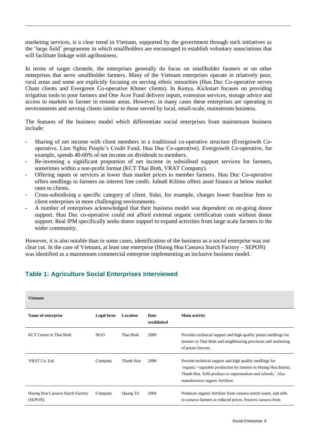marketing services, is a clear trend in Vietnam, supported by the government through such initiatives as the 'large field' programme in which smallholders are encouraged to establish voluntary associations that will facilitate linkage with agribusiness.

In terms of target clientele, the enterprises generally do focus on smallholder farmers or on other enterprises that serve smallholder farmers. Many of the Vietnam enterprises operate in relatively poor, rural areas and some are explicitly focusing on serving ethnic minorities (Huu Duc Co-operative serves Cham clients and Evergreen Co-operative Khmer clients). In Kenya, Kickstart focuses on providing irrigation tools to poor farmers and One Acre Fund delivers inputs, extension services, storage advice and access to markets to farmer in remote areas. However, in many cases these enterprises are operating in environments and serving clients similar to those served by local, small-scale, mainstream business.

The features of the business model which differentiate social enterprises from mainstream business include:

- Sharing of net income with client members in a traditional co-operative structure (Evergrowth Cooperative, Lien Nghia People's Credit Fund, Huu Duc Co-operative). Evergrowth Co-operative, for example, spends 40-60% of net income on dividends to members.
- Re-investing a significant proportion of net income in subsidised support services for farmers, sometimes within a non-profit format (KCT Thai Binh, VRAT Company).
- Offering inputs or services at lower than market prices to member farmers. Huu Duc Co-operative offers seedlings to farmers on interest free credit. Juhudi Kilimo offers asset finance at below market rates to clients.
- Cross-subsidising a specific category of client. Sidai, for example, charges lower franchise fees to client enterprises in more challenging environments.
- A number of enterprises acknowledged that their business model was dependent on on-going donor support. Huu Duc co-operative could not afford external organic certification costs without donor support. Real IPM specifically seeks donor support to expand activities from large scale farmers to the wider community.

However, it is also notable than in some cases, identification of the business as a social enterprise was not clear cut. In the case of Vietnam, at least one enterprise (Huong Hoa Cassava Starch Factory – SEPON) was identified as a mainstream commercial enterprise implementing an inclusive business model.

| <b>Vietnam</b>                              |            |           |                            |                                                                                                                                                                                                                                 |
|---------------------------------------------|------------|-----------|----------------------------|---------------------------------------------------------------------------------------------------------------------------------------------------------------------------------------------------------------------------------|
| Name of enterprise                          | Legal form | Location  | <b>Date</b><br>established | <b>Main activity</b>                                                                                                                                                                                                            |
| KCT Centre in Thai Binh                     | NGO        | Thai Binh | 2009                       | Provides technical support and high-quality potato seedlings for<br>farmers in Thai Binh and neighbouring provinces and marketing<br>of potato harvest.                                                                         |
| VRAT Co. Ltd.                               | Company    | Thanh Hoa | 2008                       | Provide technical support and high quality seedlings for<br>'organic' vegetable production by farmers in Hoang Hoa district,<br>Thanh Hoa. Sells produce to supermarkets and schools.' Also<br>manufactures organic fertiliser. |
| Huong Hoa Cassava Starch Factory<br>(SEPON) | Company    | Quang Tri | 2004                       | Produces organic fertiliser from cassava starch waste, and sells<br>to cassava farmers at reduced prices. Sources cassava from                                                                                                  |

# **Table 1: Agriculture Social Enterprises Interviewed**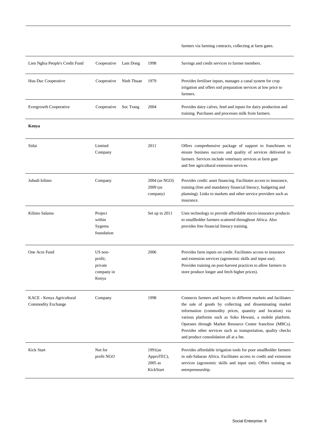| Lien Nghia People's Credit Fund                 | Cooperative                                          | Lam Dong   | 1998                                             | Savings and credit services to farmer members.                                                                                                                                                                                                                                                                                                                                                                                   |
|-------------------------------------------------|------------------------------------------------------|------------|--------------------------------------------------|----------------------------------------------------------------------------------------------------------------------------------------------------------------------------------------------------------------------------------------------------------------------------------------------------------------------------------------------------------------------------------------------------------------------------------|
| Huu Duc Cooperative                             | Cooperative                                          | Ninh Thuan | 1979                                             | Provides fertiliser inputs, manages a canal system for crop<br>irrigation and offers soil preparation services at low price to<br>farmers.                                                                                                                                                                                                                                                                                       |
| <b>Evergrowth Cooperative</b>                   | Cooperative                                          | Soc Trang  | 2004                                             | Provides dairy calves, feed and inputs for dairy production and<br>training. Purchases and processes milk from farmers.                                                                                                                                                                                                                                                                                                          |
| Kenya                                           |                                                      |            |                                                  |                                                                                                                                                                                                                                                                                                                                                                                                                                  |
| Sidai                                           | Limited<br>Company                                   |            | 2011                                             | Offers comprehensive package of support to franchisees to<br>ensure business success and quality of services delivered to<br>farmers. Services include veterinary services at farm gate<br>and free agricultural extension services.                                                                                                                                                                                             |
| Juhudi kilimo                                   | Company                                              |            | 2004 (as NGO)<br>2009 (as<br>company)            | Provides credit: asset financing. Facilitates access to insurance,<br>training (free and mandatory financial literacy, budgeting and<br>planning). Links to markets and other service providers such as<br>insurance.                                                                                                                                                                                                            |
| Kilimo Salama                                   | Project<br>within<br>Sygenta<br>foundation           |            | Set up in 2011                                   | Uses technology to provide affordable micro-insurance products<br>to smallholder farmers scattered throughout Africa. Also<br>provides free financial literacy training.                                                                                                                                                                                                                                                         |
| One Acre Fund                                   | US non-<br>profit;<br>private<br>company in<br>Kenya |            | 2006                                             | Provides farm inputs on credit. Facilitates access to insurance<br>and extension services (agronomic skills and input use).<br>Provides training on post-harvest practices to allow farmers to<br>store produce longer and fetch higher prices).                                                                                                                                                                                 |
| KACE - Kenya Agricultural<br>Commodity Exchange | Company                                              |            | 1998                                             | Connects farmers and buyers in different markets and facilitates<br>the sale of goods by collecting and disseminating market<br>information (commodity prices, quantity and location) via<br>various platforms such as Soko Hewani, a mobile platform.<br>Operates through Market Resource Center franchise (MRCs).<br>Provides other services such as transportation, quality checks<br>and product consolidation all at a fee. |
| Kick Start                                      | Not for<br>profit NGO                                |            | $1991$ (as<br>ApproTEC),<br>2005 as<br>KickStart | Provides affordable irrigation tools for poor smallholder farmers<br>in sub-Saharan Africa. Facilitates access to credit and extension<br>services (agronomic skills and input use). Offers training on<br>entrepreneurship.                                                                                                                                                                                                     |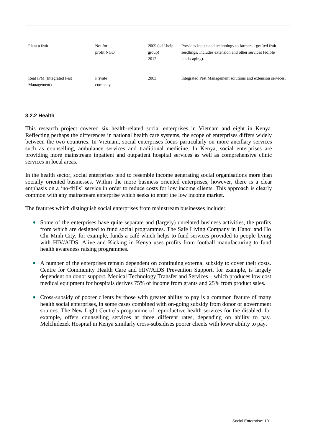| Plant a fruit                             | Not for<br>profit NGO | $2009$ (self-help<br>group)<br>2012. | Provides inputs and technology to farmers - grafted fruit<br>seedlings. Includes extension and other services (edible)<br>landscaping). |
|-------------------------------------------|-----------------------|--------------------------------------|-----------------------------------------------------------------------------------------------------------------------------------------|
| Real IPM (Integrated Pest)<br>Management) | Private<br>company    | 2003                                 | Integrated Pest Management solutions and extension services.                                                                            |

#### **3.2.2 Health**

This research project covered six health-related social enterprises in Vietnam and eight in Kenya. Reflecting perhaps the differences in national health care systems, the scope of enterprises differs widely between the two countries. In Vietnam, social enterprises focus particularly on more ancillary services such as counselling, ambulance services and traditional medicine. In Kenya, social enterprises are providing more mainstream inpatient and outpatient hospital services as well as comprehensive clinic services in local areas.

In the health sector, social enterprises tend to resemble income generating social organisations more than socially oriented businesses. Within the more business oriented enterprises, however, there is a clear emphasis on a 'no-frills' service in order to reduce costs for low income clients. This approach is clearly common with any mainstream enterprise which seeks to enter the low income market.

The features which distinguish social enterprises from mainstream businesses include:

- Some of the enterprises have quite separate and (largely) unrelated business activities, the profits from which are designed to fund social programmes. The Safe Living Company in Hanoi and Ho Chi Minh City, for example, funds a café which helps to fund services provided to people living with HIV/AIDS. Alive and Kicking in Kenya uses profits from football manufacturing to fund health awareness raising programmes.
- A number of the enterprises remain dependent on continuing external subsidy to cover their costs. Centre for Community Health Care and HIV/AIDS Prevention Support, for example, is largely dependent on donor support. Medical Technology Transfer and Services – which produces low cost medical equipment for hospitals derives 75% of income from grants and 25% from product sales.
- Cross-subsidy of poorer clients by those with greater ability to pay is a common feature of many health social enterprises, in some cases combined with on-going subsidy from donor or government sources. The New Light Centre's programme of reproductive health services for the disabled, for example, offers counselling services at three different rates, depending on ability to pay. Melchidezek Hospital in Kenya similarly cross-subsidises poorer clients with lower ability to pay.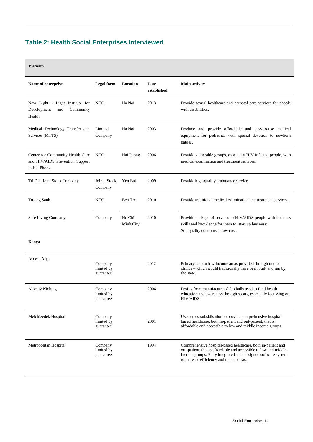# **Table 2: Health Social Enterprises Interviewed**

| Name of enterprise                                                                  | <b>Legal</b> form                  | Location            | Date<br>established | <b>Main activity</b>                                                                                                                                                                                                                           |
|-------------------------------------------------------------------------------------|------------------------------------|---------------------|---------------------|------------------------------------------------------------------------------------------------------------------------------------------------------------------------------------------------------------------------------------------------|
| New Light - Light Institute for<br>Development<br>and<br>Community<br>Health        | NGO                                | Ha Noi              | 2013                | Provide sexual healthcare and prenatal care services for people<br>with disabilities.                                                                                                                                                          |
| Medical Technology Transfer and<br>Services (MTTS)                                  | Limited<br>Company                 | Ha Noi              | 2003                | Produce and provide affordable and easy-to-use medical<br>equipment for pediatrics with special devotion to newborn<br>babies.                                                                                                                 |
| Center for Community Health Care<br>and HIV/AIDS Prevention Support<br>in Hai Phong | <b>NGO</b>                         | Hai Phong           | 2006                | Provide vulnerable groups, especially HIV infected people, with<br>medical examination and treatment services.                                                                                                                                 |
| Tri Duc Joint Stock Company                                                         | Joint. Stock<br>Company            | Yen Bai             | 2009                | Provide high-quality ambulance service.                                                                                                                                                                                                        |
| <b>Truong Sanh</b>                                                                  | NGO                                | Ben Tre             | 2010                | Provide traditional medical examination and treatment services.                                                                                                                                                                                |
| Safe Living Company                                                                 | Company                            | Ho Chi<br>Minh City | 2010                | Provide package of services to HIV/AIDS people with business<br>skills and knowledge for them to start up business;<br>Sell quality condoms at low cost.                                                                                       |
| Kenya                                                                               |                                    |                     |                     |                                                                                                                                                                                                                                                |
| Access Afya                                                                         | Company<br>limited by<br>guarantee |                     | 2012                | Primary care in low-income areas provided through micro-<br>clinics – which would traditionally have been built and run by<br>the state.                                                                                                       |
| Alive & Kicking                                                                     | Company<br>limited by<br>guarantee |                     | 2004                | Profits from manufacture of footballs used to fund health<br>education and awareness through sports, especially focussing on<br>HIV/AIDS.                                                                                                      |
| Melchizedek Hospital                                                                | Company<br>limited by<br>guarantee |                     | 2001                | Uses cross-subsidisation to provide comprehensive hospital-<br>based healthcare, both in-patient and out-patient, that is<br>affordable and accessible to low and middle income groups.                                                        |
| Metropolitan Hospital                                                               | Company<br>limited by<br>guarantee |                     | 1994                | Comprehensive hospital-based healthcare, both in-patient and<br>out-patient, that is affordable and accessible to low and middle<br>income groups. Fully integrated, self-designed software system<br>to increase efficiency and reduce costs. |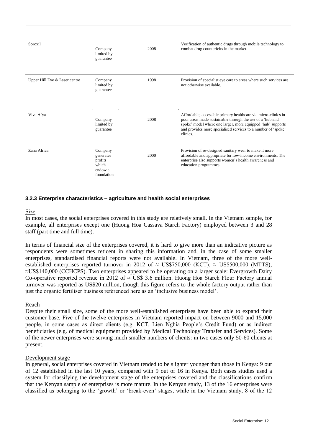| Sproxil                       | Company<br>limited by<br>guarantee                                | 2008 | Verification of authentic drugs through mobile technology to<br>combat drug counterfeits in the market.                                                                                                                                                                 |
|-------------------------------|-------------------------------------------------------------------|------|-------------------------------------------------------------------------------------------------------------------------------------------------------------------------------------------------------------------------------------------------------------------------|
| Upper Hill Eye & Laser centre | Company<br>limited by<br>guarantee                                | 1998 | Provision of specialist eye care to areas where such services are<br>not otherwise available.                                                                                                                                                                           |
| Viva Afya                     | Company<br>limited by<br>guarantee                                | 2008 | Affordable, accessible primary healthcare via micro-clinics in<br>poor areas made sustainable through the use of a 'hub and<br>spoke' model where one larger, more equipped 'hub' supports<br>and provides more specialised services to a number of 'spoke'<br>clinics. |
| Zana Africa                   | Company<br>generates<br>profits<br>which<br>endow a<br>foundation | 2000 | Provision of re-designed sanitary wear to make it more<br>affordable and appropriate for low-income environments. The<br>enterprise also supports women's health awareness and<br>education programmes.                                                                 |

#### **3.2.3 Enterprise characteristics – agriculture and health social enterprises**

#### Size

In most cases, the social enterprises covered in this study are relatively small. In the Vietnam sample, for example, all enterprises except one (Huong Hoa Cassava Starch Factory) employed between 3 and 28 staff (part time and full time).

In terms of financial size of the enterprises covered, it is hard to give more than an indicative picture as respondents were sometimes reticent in sharing this information and, in the case of some smaller enterprises, standardised financial reports were not available. In Vietnam, three of the more wellestablished enterprises reported turnover in 2012 of  $\approx$  US\$750,000 (KCT);  $\approx$  US\$500,000 (MTTS); ≈US\$140,000 (CCHCPS). Two enterprises appeared to be operating on a larger scale: Evergrowth Dairy Co-operative reported revenue in 2012 of  $\approx$  US\$ 3.6 million. Huong Hoa Starch Flour Factory annual turnover was reported as US\$20 million, though this figure refers to the whole factory output rather than just the organic fertiliser business referenced here as an 'inclusive business model'.

#### Reach

Despite their small size, some of the more well-established enterprises have been able to expand their customer base. Five of the twelve enterprises in Vietnam reported impact on between 9000 and 15,000 people, in some cases as direct clients (e.g. KCT, Lien Nghia People's Credit Fund) or as indirect beneficiaries (e.g. of medical equipment provided by Medical Technology Transfer and Services). Some of the newer enterprises were serving much smaller numbers of clients: in two cases only 50-60 clients at present.

#### Development stage

In general, social enterprises covered in Vietnam tended to be slighter younger than those in Kenya: 9 out of 12 established in the last 10 years, compared with 9 out of 16 in Kenya. Both cases studies used a system for classifying the development stage of the enterprises covered and the classifications confirm that the Kenyan sample of enterprises is more mature. In the Kenyan study, 13 of the 16 enterprises were classified as belonging to the 'growth' or 'break-even' stages, while in the Vietnam study, 8 of the 12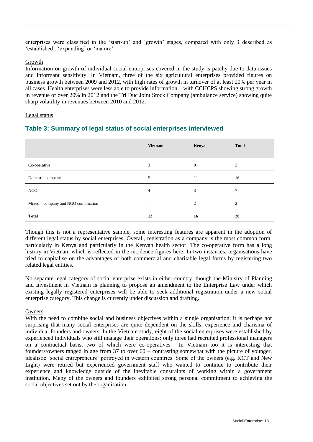enterprises were classified in the 'start-up' and 'growth' stages, compared with only 3 described as 'established', 'expanding' or 'mature'.

#### Growth

Information on growth of individual social enterprises covered in the study is patchy due to data issues and informant sensitivity. In Vietnam, three of the six agricultural enterprises provided figures on business growth between 2009 and 2012, with high rates of growth in turnover of at least 20% per year in all cases. Health enterprises were less able to provide information – with CCHCPS showing strong growth in revenue of over 20% in 2012 and the Tri Duc Joint Stock Company (ambulance service) showing quite sharp volatility in revenues between 2010 and 2012.

#### Legal status

## **Table 3: Summary of legal status of social enterprises interviewed**

|                                     | <b>Vietnam</b> | Kenya    | <b>Total</b> |
|-------------------------------------|----------------|----------|--------------|
| Co-operative                        | 3              | $\Omega$ | 3            |
| Domestic company                    | 5              | 11       | 16           |
| <b>NGO</b>                          | 4              | 3        | 7            |
| Mixed - company and NGO combination | ٠.             | 2        | 2            |
| <b>Total</b>                        | 12             | 16       | 28           |

Though this is not a representative sample, some interesting features are apparent in the adoption of different legal status by social enterprises. Overall, registration as a company is the most common form, particularly in Kenya and particularly in the Kenyan health sector. The co-operative form has a long history in Vietnam which is reflected in the incidence figures here. In two instances, organisations have tried to capitalise on the advantages of both commercial and charitable legal forms by registering two related legal entities.

No separate legal category of social enterprise exists in either country, though the Ministry of Planning and Investment in Vietnam is planning to propose an amendment to the Enterprise Law under which existing legally registered enterprises will be able to seek additional registration under a new social enterprise category. This change is currently under discussion and drafting.

#### Owners

With the need to combine social and business objectives within a single organisation, it is perhaps not surprising that many social enterprises are quite dependent on the skills, experience and charisma of individual founders and owners. In the Vietnam study, eight of the social enterprises were established by experienced individuals who still manage their operations: only three had recruited professional managers on a contractual basis, two of which were co-operatives. In Vietnam too it is interesting that founders/owners ranged in age from 37 to over 60 – contrasting somewhat with the picture of younger, idealistic 'social entrepreneurs' portrayed in western countries. Some of the owners (e.g. KCT and New Light) were retired but experienced government staff who wanted to continue to contribute their experience and knowledge outside of the inevitable constraints of working within a government institution. Many of the owners and founders exhibited strong personal commitment to achieving the social objectives set out by the organisation.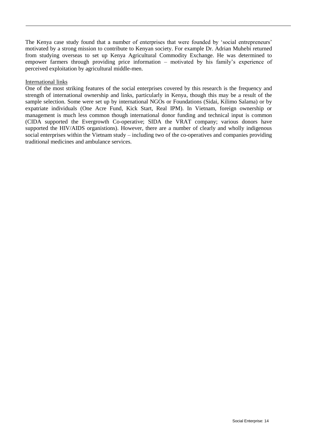The Kenya case study found that a number of enterprises that were founded by 'social entrepreneurs' motivated by a strong mission to contribute to Kenyan society. For example Dr. Adrian Muhebi returned from studying overseas to set up Kenya Agricultural Commodity Exchange. He was determined to empower farmers through providing price information – motivated by his family's experience of perceived exploitation by agricultural middle-men.

#### International links

One of the most striking features of the social enterprises covered by this research is the frequency and strength of international ownership and links, particularly in Kenya, though this may be a result of the sample selection. Some were set up by international NGOs or Foundations (Sidai, Kilimo Salama) or by expatriate individuals (One Acre Fund, Kick Start, Real IPM). In Vietnam, foreign ownership or management is much less common though international donor funding and technical input is common (CIDA supported the Evergrowth Co-operative; SIDA the VRAT company; various donors have supported the HIV/AIDS organistions). However, there are a number of clearly and wholly indigenous social enterprises within the Vietnam study – including two of the co-operatives and companies providing traditional medicines and ambulance services.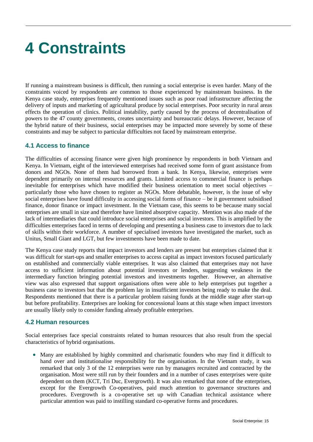# <span id="page-19-0"></span>**4 Constraints**

If running a mainstream business is difficult, then running a social enterprise is even harder. Many of the constraints voiced by respondents are common to those experienced by mainstream business. In the Kenya case study, enterprises frequently mentioned issues such as poor road infrastructure affecting the delivery of inputs and marketing of agricultural produce by social enterprises. Poor security in rural areas effects the operation of clinics. Political instability, partly caused by the process of decentralisation of powers to the 47 county governments, creates uncertainty and bureaucratic delays. However, because of the hybrid nature of their business, social enterprises may be impacted more severely by some of these constraints and may be subject to particular difficulties not faced by mainstream enterprise.

### <span id="page-19-1"></span>**4.1 Access to finance**

The difficulties of accessing finance were given high prominence by respondents in both Vietnam and Kenya. In Vietnam, eight of the interviewed enterprises had received some form of grant assistance from donors and NGOs. None of them had borrowed from a bank. In Kenya, likewise, enterprises were dependent primarily on internal resources and grants. Limited access to commercial finance is perhaps inevitable for enterprises which have modified their business orientation to meet social objectives – particularly those who have chosen to register as NGOs. More debatable, however, is the issue of why social enterprises have found difficulty in accessing social forms of finance – be it government subsidised finance, donor finance or impact investment. In the Vietnam case, this seems to be because many social enterprises are small in size and therefore have limited absorptive capacity. Mention was also made of the lack of intermediaries that could introduce social enterprises and social investors. This is amplified by the difficulties enterprises faced in terms of developing and presenting a business case to investors due to lack of skills within their workforce. A number of specialised investors have investigated the market, such as Unitus, Small Giant and LGT, but few investments have been made to date.

The Kenya case study reports that impact investors and lenders are present but enterprises claimed that it was difficult for start-ups and smaller enterprises to access capital as impact investors focused particularly on established and commercially viable enterprises. It was also claimed that enterprises may not have access to sufficient information about potential investors or lenders, suggesting weakness in the intermediary function bringing potential investors and investments together. However, an alternative view was also expressed that support organisations often were able to help enterprises put together a business case to investors but that the problem lay in insufficient investors being ready to make the deal. Respondents mentioned that there is a particular problem raising funds at the middle stage after start-up but before profitability. Enterprises are looking for concessional loans at this stage when impact investors are usually likely only to consider funding already profitable enterprises.

#### <span id="page-19-2"></span>**4.2 Human resources**

Social enterprises face special constraints related to human resources that also result from the special characteristics of hybrid organisations.

 Many are established by highly committed and charismatic founders who may find it difficult to hand over and institutionalise responsibility for the organisation. In the Vietnam study, it was remarked that only 3 of the 12 enterprises were run by managers recruited and contracted by the organisation. Most were still run by their founders and in a number of cases enterprises were quite dependent on them (KCT, Tri Duc, Evergrowth). It was also remarked that none of the enterprises, except for the Evergrowth Co-operatives, paid much attention to governance structures and procedures. Evergrowth is a co-operative set up with Canadian technical assistance where particular attention was paid to instilling standard co-operative forms and procedures.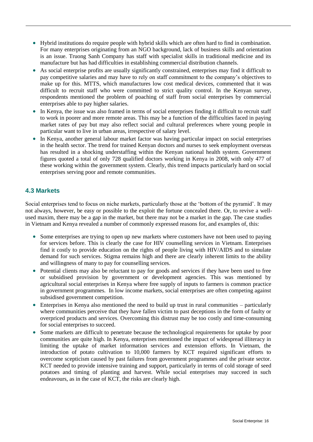- Hybrid institutions do require people with hybrid skills which are often hard to find in combination. For many enterprises originating from an NGO background, lack of business skills and orientation is an issue. Truong Sanh Company has staff with specialist skills in traditional medicine and its manufacture but has had difficulties in establishing commercial distribution channels.
- As social enterprise profits are usually significantly constrained, enterprises may find it difficult to pay competitive salaries and may have to rely on staff commitment to the company's objectives to make up for this. MTTS, which manufactures low cost medical devices, commented that it was difficult to recruit staff who were committed to strict quality control. In the Kenyan survey, respondents mentioned the problem of poaching of staff from social enterprises by commercial enterprises able to pay higher salaries.
- In Kenya, the issue was also framed in terms of social enterprises finding it difficult to recruit staff to work in poorer and more remote areas. This may be a function of the difficulties faced in paying market rates of pay but may also reflect social and cultural preferences where young people in particular want to live in urban areas, irrespective of salary level.
- In Kenya, another general labour market factor was having particular impact on social enterprises in the health sector. The trend for trained Kenyan doctors and nurses to seek employment overseas has resulted in a shocking understaffing within the Kenyan national health system. Government figures quoted a total of only 728 qualified doctors working in Kenya in 2008, with only 477 of these working within the government system. Clearly, this trend impacts particularly hard on social enterprises serving poor and remote communities.

# <span id="page-20-0"></span>**4.3 Markets**

Social enterprises tend to focus on niche markets, particularly those at the 'bottom of the pyramid'. It may not always, however, be easy or possible to the exploit the fortune concealed there. Or, to revive a wellused maxim, there may be a gap in the market, but there may not be a market in the gap. The case studies in Vietnam and Kenya revealed a number of commonly expressed reasons for, and examples of, this:

- Some enterprises are trying to open up new markets where customers have not been used to paying for services before. This is clearly the case for HIV counselling services in Vietnam. Enterprises find it costly to provide education on the rights of people living with HIV/AIDS and to simulate demand for such services. Stigma remains high and there are clearly inherent limits to the ability and willingness of many to pay for counselling services.
- Potential clients may also be reluctant to pay for goods and services if they have been used to free or subsidised provision by government or development agencies. This was mentioned by agricultural social enterprises in Kenya where free supply of inputs to farmers is common practice in government programmes. In low income markets, social enterprises are often competing against subsidised government competition.
- Enterprises in Kenya also mentioned the need to build up trust in rural communities particularly where communities perceive that they have fallen victim to past deceptions in the form of faulty or overpriced products and services. Overcoming this distrust may be too costly and time-consuming for social enterprises to succeed.
- Some markets are difficult to penetrate because the technological requirements for uptake by poor communities are quite high. In Kenya, enterprises mentioned the impact of widespread illiteracy in limiting the uptake of market information services and extension efforts. In Vietnam, the introduction of potato cultivation to 10,000 farmers by KCT required significant efforts to overcome scepticism caused by past failures from government programmes and the private sector. KCT needed to provide intensive training and support, particularly in terms of cold storage of seed potatoes and timing of planting and harvest. While social enterprises may succeed in such endeavours, as in the case of KCT, the risks are clearly high.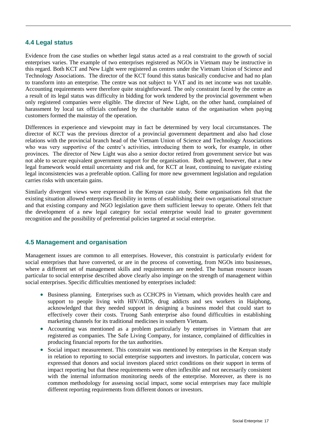#### <span id="page-21-0"></span>**4.4 Legal status**

Evidence from the case studies on whether legal status acted as a real constraint to the growth of social enterprises varies. The example of two enterprises registered as NGOs in Vietnam may be instructive in this regard. Both KCT and New Light were registered as centres under the Vietnam Union of Science and Technology Associations. The director of the KCT found this status basically conducive and had no plan to transform into an enterprise. The centre was not subject to VAT and its net income was not taxable. Accounting requirements were therefore quite straightforward. The only constraint faced by the centre as a result of its legal status was difficulty in bidding for work tendered by the provincial government when only registered companies were eligible. The director of New Light, on the other hand, complained of harassment by local tax officials confused by the charitable status of the organisation when paying customers formed the mainstay of the operation.

Differences in experience and viewpoint may in fact be determined by very local circumstances. The director of KCT was the previous director of a provincial government department and also had close relations with the provincial branch head of the Vietnam Union of Science and Technology Associations who was very supportive of the centre's activities, introducing them to work, for example, in other provinces. The director of New Light was also a senior doctor retired from government service but was not able to secure equivalent government support for the organisation. Both agreed, however, that a new legal framework would entail uncertainty and risk and, for KCT at least, continuing to navigate existing legal inconsistencies was a preferable option. Calling for more new government legislation and regulation carries risks with uncertain gains.

Similarly divergent views were expressed in the Kenyan case study. Some organisations felt that the existing situation allowed enterprises flexibility in terms of establishing their own organisational structure and that existing company and NGO legislation gave them sufficient leeway to operate. Others felt that the development of a new legal category for social enterprise would lead to greater government recognition and the possibility of preferential policies targeted at social enterprise.

#### <span id="page-21-1"></span>**4.5 Management and organisation**

Management issues are common to all enterprises. However, this constraint is particularly evident for social enterprises that have converted, or are in the process of converting, from NGOs into businesses, where a different set of management skills and requirements are needed. The human resource issues particular to social enterprise described above clearly also impinge on the strength of management within social enterprises. Specific difficulties mentioned by enterprises included:

- Business planning. Enterprises such as CCHCPS in Vietnam, which provides health care and support to people living with HIV/AIDS, drug addicts and sex workers in Haiphong, acknowledged that they needed support in designing a business model that could start to effectively cover their costs. Truong Sanh enterprise also found difficulties in establishing marketing channels for its traditional medicines in southern Vietnam.
- Accounting was mentioned as a problem particularly by enterprises in Vietnam that are registered as companies. The Safe Living Company, for instance, complained of difficulties in producing financial reports for the tax authorities.
- Social impact measurement. This constraint was mentioned by enterprises in the Kenyan study in relation to reporting to social enterprise supporters and investors. In particular, concern was expressed that donors and social investors placed strict conditions on their support in terms of impact reporting but that these requirements were often inflexible and not necessarily consistent with the internal information monitoring needs of the enterprise. Moreover, as there is no common methodology for assessing social impact, some social enterprises may face multiple different reporting requirements from different donors or investors.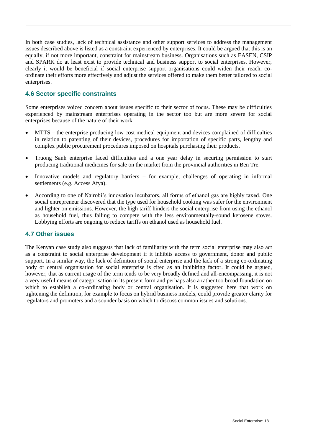In both case studies, lack of technical assistance and other support services to address the management issues described above is listed as a constraint experienced by enterprises. It could be argued that this is an equally, if not more important, constraint for mainstream business. Organisations such as EASEN, CSIP and SPARK do at least exist to provide technical and business support to social enterprises. However, clearly it would be beneficial if social enterprise support organisations could widen their reach, coordinate their efforts more effectively and adjust the services offered to make them better tailored to social enterprises.

### <span id="page-22-0"></span>**4.6 Sector specific constraints**

Some enterprises voiced concern about issues specific to their sector of focus. These may be difficulties experienced by mainstream enterprises operating in the sector too but are more severe for social enterprises because of the nature of their work:

- MTTS the enterprise producing low cost medical equipment and devices complained of difficulties in relation to patenting of their devices, procedures for importation of specific parts, lengthy and complex public procurement procedures imposed on hospitals purchasing their products.
- Truong Sanh enterprise faced difficulties and a one year delay in securing permission to start producing traditional medicines for sale on the market from the provincial authorities in Ben Tre.
- Innovative models and regulatory barriers for example, challenges of operating in informal settlements (e.g. Access Afya).
- According to one of Nairobi's innovation incubators, all forms of ethanol gas are highly taxed. One social entrepreneur discovered that the type used for household cooking was safer for the environment and lighter on emissions. However, the high tariff hinders the social enterprise from using the ethanol as household fuel, thus failing to compete with the less environmentally-sound kerosene stoves. Lobbying efforts are ongoing to reduce tariffs on ethanol used as household fuel.

#### <span id="page-22-1"></span>**4.7 Other issues**

The Kenyan case study also suggests that lack of familiarity with the term social enterprise may also act as a constraint to social enterprise development if it inhibits access to government, donor and public support. In a similar way, the lack of definition of social enterprise and the lack of a strong co-ordinating body or central organisation for social enterprise is cited as an inhibiting factor. It could be argued, however, that as current usage of the term tends to be very broadly defined and all-encompassing, it is not a very useful means of categorisation in its present form and perhaps also a rather too broad foundation on which to establish a co-ordinating body or central organisation. It is suggested here that work on tightening the definition, for example to focus on hybrid business models, could provide greater clarity for regulators and promoters and a sounder basis on which to discuss common issues and solutions.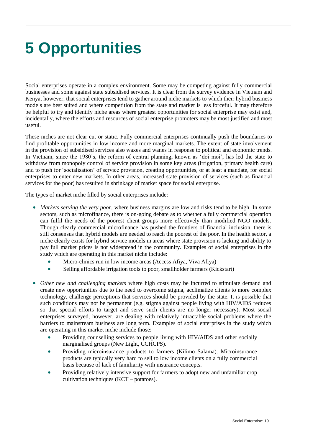# <span id="page-23-0"></span>**5 Opportunities**

Social enterprises operate in a complex environment. Some may be competing against fully commercial businesses and some against state subsidised services. It is clear from the survey evidence in Vietnam and Kenya, however, that social enterprises tend to gather around niche markets to which their hybrid business models are best suited and where competition from the state and market is less forceful. It may therefore be helpful to try and identify niche areas where greatest opportunities for social enterprise may exist and, incidentally, where the efforts and resources of social enterprise promoters may be most justified and most useful.

These niches are not clear cut or static. Fully commercial enterprises continually push the boundaries to find profitable opportunities in low income and more marginal markets. The extent of state involvement in the provision of subsidised services also waxes and wanes in response to political and economic trends. In Vietnam, since the 1980's, the reform of central planning, known as 'doi moi', has led the state to withdraw from monopoly control of service provision in some key areas (irrigation, primary health care) and to push for 'socialisation' of service provision, creating opportunities, or at least a mandate, for social enterprises to enter new markets. In other areas, increased state provision of services (such as financial services for the poor) has resulted in shrinkage of market space for social enterprise.

The types of market niche filled by social enterprises include:

- *Markets serving the very poor*, where business margins are low and risks tend to be high. In some sectors, such as microfinance, there is on-going debate as to whether a fully commercial operation can fulfil the needs of the poorest client groups more effectively than modified NGO models. Though clearly commercial microfinance has pushed the frontiers of financial inclusion, there is still consensus that hybrid models are needed to reach the poorest of the poor. In the health sector, a niche clearly exists for hybrid service models in areas where state provision is lacking and ability to pay full market prices is not widespread in the community. Examples of social enterprises in the study which are operating in this market niche include:
	- Micro-clinics run in low income areas (Access Afiya, Viva Afiya)
	- Selling affordable irrigation tools to poor, smallholder farmers (Kickstart)
- *Other new and challenging markets* where high costs may be incurred to stimulate demand and create new opportunities due to the need to overcome stigma, acclimatize clients to more complex technology, challenge perceptions that services should be provided by the state. It is possible that such conditions may not be permanent (e.g. stigma against people living with HIV/AIDS reduces so that special efforts to target and serve such clients are no longer necessary). Most social enterprises surveyed, however, are dealing with relatively intractable social problems where the barriers to mainstream business are long term. Examples of social enterprises in the study which are operating in this market niche include those:
	- Providing counselling services to people living with HIV/AIDS and other socially marginalised groups (New Light, CCHCPS).
	- Providing microinsurance products to farmers (Kilimo Salama). Microinsurance products are typically very hard to sell to low income clients on a fully commercial basis because of lack of familiarity with insurance concepts.
	- Providing relatively intensive support for farmers to adopt new and unfamiliar crop cultivation techniques (KCT – potatoes).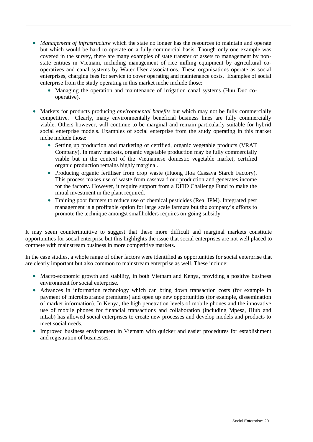- *Management of infrastructure* which the state no longer has the resources to maintain and operate but which would be hard to operate on a fully commercial basis. Though only one example was covered in the survey, there are many examples of state transfer of assets to management by nonstate entities in Vietnam, including management of rice milling equipment by agricultural cooperatives and canal systems by Water User associations. These organisations operate as social enterprises, charging fees for service to cover operating and maintenance costs. Examples of social enterprise from the study operating in this market niche include those:
	- Managing the operation and maintenance of irrigation canal systems (Huu Duc cooperative).
- Markets for products producing *environmental benefits* but which may not be fully commercially competitive. Clearly, many environmentally beneficial business lines are fully commercially viable. Others however, will continue to be marginal and remain particularly suitable for hybrid social enterprise models. Examples of social enterprise from the study operating in this market niche include those:
	- Setting up production and marketing of certified, organic vegetable products (VRAT Company). In many markets, organic vegetable production may be fully commercially viable but in the context of the Vietnamese domestic vegetable market, certified organic production remains highly marginal.
	- Producing organic fertiliser from crop waste (Huong Hoa Cassava Starch Factory). This process makes use of waste from cassava flour production and generates income for the factory. However, it require support from a DFID Challenge Fund to make the initial investment in the plant required.
	- Training poor farmers to reduce use of chemical pesticides (Real IPM). Integrated pest management is a profitable option for large scale farmers but the company's efforts to promote the technique amongst smallholders requires on-going subsidy.

It may seem counterintuitive to suggest that these more difficult and marginal markets constitute opportunities for social enterprise but this highlights the issue that social enterprises are not well placed to compete with mainstream business in more competitive markets.

In the case studies, a whole range of other factors were identified as opportunities for social enterprise that are clearly important but also common to mainstream enterprise as well. These include:

- Macro-economic growth and stability, in both Vietnam and Kenya, providing a positive business environment for social enterprise.
- Advances in information technology which can bring down transaction costs (for example in payment of microinsurance premiums) and open up new opportunities (for example, dissemination of market information). In Kenya, the high penetration levels of mobile phones and the innovative use of mobile phones for financial transactions and collaboration (including Mpesa, iHub and mLab) has allowed social enterprises to create new processes and develop models and products to meet social needs.
- Improved business environment in Vietnam with quicker and easier procedures for establishment and registration of businesses.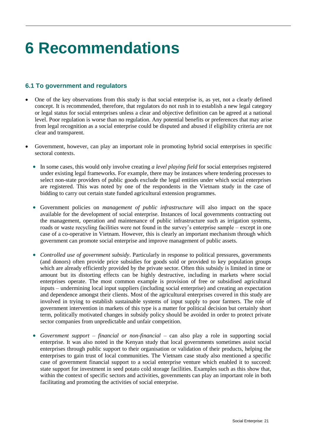# <span id="page-25-0"></span>**6 Recommendations**

### <span id="page-25-1"></span>**6.1 To government and regulators**

- One of the key observations from this study is that social enterprise is, as yet, not a clearly defined concept. It is recommended, therefore, that regulators do not rush in to establish a new legal category or legal status for social enterprises unless a clear and objective definition can be agreed at a national level. Poor regulation is worse than no regulation. Any potential benefits or preferences that may arise from legal recognition as a social enterprise could be disputed and abused if eligibility criteria are not clear and transparent.
- Government, however, can play an important role in promoting hybrid social enterprises in specific sectoral contexts.
	- In some cases, this would only involve creating *a level playing field* for social enterprises registered under existing legal frameworks. For example, there may be instances where tendering processes to select non-state providers of public goods exclude the legal entities under which social enterprises are registered. This was noted by one of the respondents in the Vietnam study in the case of bidding to carry out certain state funded agricultural extension programmes.
	- Government policies on *management of public infrastructure* will also impact on the space available for the development of social enterprise. Instances of local governments contracting out the management, operation and maintenance of public infrastructure such as irrigation systems, roads or waste recycling facilities were not found in the survey's enterprise sample – except in one case of a co-operative in Vietnam. However, this is clearly an important mechanism through which government can promote social enterprise and improve management of public assets.
	- *Controlled use of government subsidy*. Particularly in response to political pressures, governments (and donors) often provide price subsidies for goods sold or provided to key population groups which are already efficiently provided by the private sector. Often this subsidy is limited in time or amount but its distorting effects can be highly destructive, including in markets where social enterprises operate. The most common example is provision of free or subsidised agricultural inputs – undermining local input suppliers (including social enterprise) and creating an expectation and dependence amongst their clients. Most of the agricultural enterprises covered in this study are involved in trying to establish sustainable systems of input supply to poor farmers. The role of government intervention in markets of this type is a matter for political decision but certainly short term, politically motivated changes in subsidy policy should be avoided in order to protect private sector companies from unpredictable and unfair competition.
	- *Government support – financial or non-financial* can also play a role in supporting social enterprise. It was also noted in the Kenyan study that local governments sometimes assist social enterprises through public support to their organisation or validation of their products, helping the enterprises to gain trust of local communities. The Vietnam case study also mentioned a specific case of government financial support to a social enterprise venture which enabled it to succeed: state support for investment in seed potato cold storage facilities. Examples such as this show that, within the context of specific sectors and activities, governments can play an important role in both facilitating and promoting the activities of social enterprise.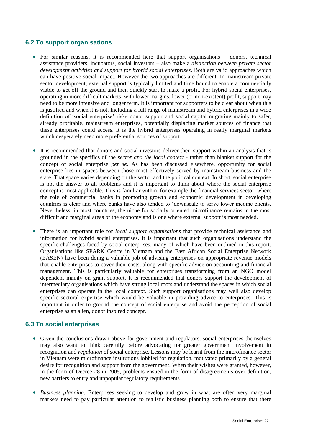## <span id="page-26-0"></span>**6.2 To support organisations**

- For similar reasons, it is recommended here that support organisations donors, technical assistance providers, incubators, social investors – also make a *distinction between private sector development activities and support for hybrid social enterprises*. Both are valid approaches which can have positive social impact. However the two approaches are different. In mainstream private sector development, external support is typically limited and time bound to enable a commercially viable to get off the ground and then quickly start to make a profit. For hybrid social enterprises, operating in more difficult markets, with lower margins, lower (or non-existent) profit, support may need to be more intensive and longer term. It is important for supporters to be clear about when this is justified and when it is not. Including a full range of mainstream and hybrid enterprises in a wide definition of 'social enterprise' risks donor support and social capital migrating mainly to safer, already profitable, mainstream enterprises, potentially displacing market sources of finance that these enterprises could access. It is the hybrid enterprises operating in really marginal markets which desperately need more preferential sources of support.
- It is recommended that donors and social investors deliver their support within an analysis that is grounded in the specifics of the *sector and the local context* - rather than blanket support for the concept of social enterprise *per se*. As has been discussed elsewhere, opportunity for social enterprise lies in spaces between those most effectively served by mainstream business and the state. That space varies depending on the sector and the political context. In short, social enterprise is not the answer to all problems and it is important to think about where the social enterprise concept is most applicable. This is familiar within, for example the financial services sector, where the role of commercial banks in promoting growth and economic development in developing countries is clear and where banks have also tended to 'downscale to serve lower income clients. Nevertheless, in most countries, the niche for socially oriented microfinance remains in the most difficult and marginal areas of the economy and is one where external support is most needed.
- There is an important role for *local support organisations* that provide technical assistance and information for hybrid social enterprises. It is important that such organisations understand the specific challenges faced by social enterprises, many of which have been outlined in this report. Organisations like SPARK Centre in Vietnam and the East African Social Enterprise Network (EASEN) have been doing a valuable job of advising enterprises on appropriate revenue models that enable enterprises to cover their costs, along with specific advice on accounting and financial management. This is particularly valuable for enterprises transforming from an NGO model dependent mainly on grant support. It is recommended that donors support the development of intermediary organisations which have strong local roots and understand the spaces in which social enterprises can operate in the local context. Such support organisations may well also develop specific sectoral expertise which would be valuable in providing advice to enterprises. This is important in order to ground the concept of social enterprise and avoid the perception of social enterprise as an alien, donor inspired concept.

## <span id="page-26-1"></span>**6.3 To social enterprises**

- Given the conclusions drawn above for government and regulators, social enterprises themselves may also want to think carefully before advocating for greater government involvement in recognition and *regulation* of social enterprise. Lessons may be learnt from the microfinance sector in Vietnam were microfinance institutions lobbied for regulation, motivated primarily by a general desire for recognition and support from the government. When their wishes were granted, however, in the form of Decree 28 in 2005, problems ensued in the form of disagreements over definition, new barriers to entry and unpopular regulatory requirements.
- *Business planning*. Enterprises seeking to develop and grow in what are often very marginal markets need to pay particular attention to realistic business planning both to ensure that there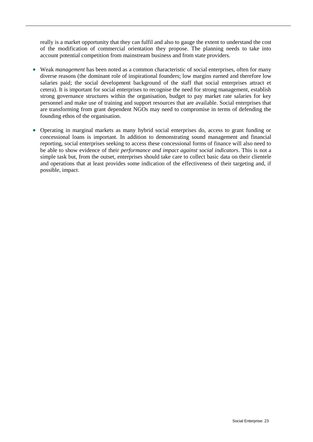really is a market opportunity that they can fulfil and also to gauge the extent to understand the cost of the modification of commercial orientation they propose. The planning needs to take into account potential competition from mainstream business and from state providers.

- Weak *management* has been noted as a common characteristic of social enterprises, often for many diverse reasons (the dominant role of inspirational founders; low margins earned and therefore low salaries paid; the social development background of the staff that social enterprises attract et cetera). It is important for social enterprises to recognise the need for strong management, establish strong governance structures within the organisation, budget to pay market rate salaries for key personnel and make use of training and support resources that are available. Social enterprises that are transforming from grant dependent NGOs may need to compromise in terms of defending the founding ethos of the organisation.
- Operating in marginal markets as many hybrid social enterprises do, access to grant funding or concessional loans is important. In addition to demonstrating sound management and financial reporting, social enterprises seeking to access these concessional forms of finance will also need to be able to show evidence of their *performance and impact against social indicators*. This is not a simple task but, from the outset, enterprises should take care to collect basic data on their clientele and operations that at least provides some indication of the effectiveness of their targeting and, if possible, impact.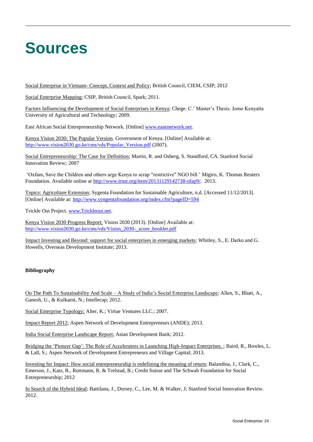# <span id="page-28-0"></span>**Sources**

Social Enterprise in Vietnam- Concept, Context and Policy; British Council, CIEM, CSIP; 2012

Social Enterprise Mapping; CSIP, British Council, Spark; 2011.

Factors Influencing the Development of Social Enterprises in Kenya; Chege. C.' Master's Thesis. Jomo Kenyatta University of Agricultural and Technology*;* 2009.

East African Social Entrepreneurship Network. [Online] [www.easenetwork.net.](http://www.easenetwork.net/)

Kenya Vision 2030: The Popular Version. Government of Kenya. [Online] Available at: [http://www.vision2030.go.ke/cms/vds/Popular\\_Version.pdf](http://www.vision2030.go.ke/cms/vds/Popular_Version.pdf) (2007).

Social Entrepreneurship: The Case for Definition; Martin, R. and Osberg, S. Standford, CA. Stanford Social Innovation Review*;* 2007

'Oxfam, Save the Children and others urge Kenya to scrap "restrictive" NGO bill.' Migiro, K. Thomas Reuters Foundation. Available online at [http://www.trust.org/item/20131129142738-ofap9/.](http://www.trust.org/item/20131129142738-ofap9/) 2013.

Topics: Agriculture Extension; Sygenta Foundation for Sustainable Agriculture, n.d. [Accessed 11/12/2013]*.*  [Online] Available at:<http://www.syngentafoundation.org/index.cfm?pageID=594>

Trickle Out Project. [www.Trickleout.net.](http://www.trickleout.net/)

Kenya Vision 2030 Progress Report; Vision 2030 (2013). [Online] Available at: [http://www.vision2030.go.ke/cms/vds/Vision\\_2030-\\_score\\_booklet.pdf](http://www.vision2030.go.ke/cms/vds/Vision_2030-_score_booklet.pdf)

Impact Investing and Beyond: support for social enterprises in emerging markets; Whitley, S., E. Darko and G. Howells, Overseas Development Institute; 2013.

#### **Bibliography**

On The Path To Sustainability And Scale – A Study of India's Social Enterprise Landscape; Allen, S., Bhatt, A., Ganesh, U., & Kulkarni, N.; Intellecap; 2012.

Social Enterprise Typology; Alter, K.; Virtue Ventures LLC.; 2007.

Impact Report 2012; Aspen Network of Development Entrepreneurs (ANDE); 2013.

India Social Enterprise Landscape Report; Asian Development Bank; 2012.

Bridging the 'Pioneer Gap': The Role of Accelerators in Launching High-Impact Enterprises. ; Baird, R., Bowles, L. & Lall, S.; Aspen Network of Development Entrepreneurs and Village Capital; 2013.

Investing for Impact: How social entrepreneurship is redefining the meaning of return; Balandina, J., Clark, C., Emerson, J., Katz, R., Ruttmann, R. & Trelstad, B.; Credit Suisse and The Schwab Foundation for Social Entrepreneurship; 2012

In Search of the Hybrid Ideal; Battilana, J., Dorsey, C., Lee, M. & Walker, J; Stanford Social Innovation Review. 2012.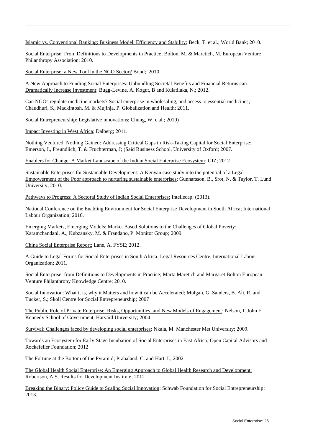Islamic vs. Conventional Banking: Business Model, Efficiency and Stability; Beck, T. et al.; World Bank; 2010.

Social Enterprise: From Definitions to Developments in Practice; Bolton, M. & Maretich, M. European Venture Philanthropy Association; 2010.

Social Enterprise: a New Tool in the NGO Sector? Bond; 2010.

A New Approach to Funding Social Enterprises: Unbundling Societal Benefits and Financial Returns can Dramatically Increase Investment; Bugg-Levine, A. Kogut, B and Kulatilaka, N.; 2012.

Can NGOs regulate medicine markets? Social enterprise in wholesaling, and access to essential medicines; Chaudhuri, S., Mackintosh, M. & Mujinja, P. Globalization and Health; 2011.

Social Entrepreneurship: Legislative innovations; Chung, W. e al.; 2010)

Impact Investing in West Africa; Dalberg; 2011.

Nothing Ventured, Nothing Gained: Addressing Critical Gaps in Risk-Taking Capital for Social Enterprise; Emerson, J., Freundlich, T. & Fruchterman, J; (Said Business School, University of Oxford; 2007.

Enablers for Change: A Market Landscape of the Indian Social Enterprise Ecosystem; GIZ; 2012

Sustainable Enterprises for Sustainable Development: A Kenyan case study into the potential of a Legal Empowerment of the Poor approach to nurturing sustainable enterprises; Gunnarsson, B., Srot, N. & Taylor, T. Lund University; 2010.

Pathways to Progress: A Sectoral Study of Indian Social Enterprises; Intellecap; (2013).

National Conference on the Enabling Environment for Social Enterprise Development in South Africa; International Labour Organization; 2010.

Emerging Markets, Emerging Models: Market Based Solutions to the Challenges of Global Poverty; Karamchandanl, A., Kubzansky, M. & Frandano, P. Monitor Group; 2009.

China Social Enterprise Report; Lane, A. FYSE; 2012.

A Guide to Legal Forms for Social Enterprises in South Africa; Legal Resources Centre, International Labour Organization; 2011.

Social Enterprise: from Definitions to Developments in Practice; Marta Maretich and Margaret Bolton European Venture Philanthropy Knowledge Centre; 2010.

Social Innovation: What it is, why it Matters and how it can be Accelerated; Mulgan, G. Sanders, B. Ali, R. and Tucker, S.; Skoll Centre for Social Entrepreneurship; 2007

The Public Role of Private Enterprise: Risks, Opportunities, and New Models of Engagement; Nelson, J. John F. Kennedy School of Government, Harvard University; 2004

Survival: Challenges faced by developing social enterprises; Nkala, M. Manchester Met University; 2009.

Towards an Ecosystem for Early-Stage Incubation of Social Enterprises in East Africa; Open Capital Advisors and Rockefeller Foundation; 2012

The Fortune at the Bottom of the Pyramid; Prahaland, C. and Hart, L, 2002.

The Global Health Social Enterprise: An Emerging Approach to Global Health Research and Development; Robertson, A.S. Results for Development Institute; 2012.

Breaking the Binary: Policy Guide to Scaling Social Innovation; Schwab Foundation for Social Entrepreneurship; 2013.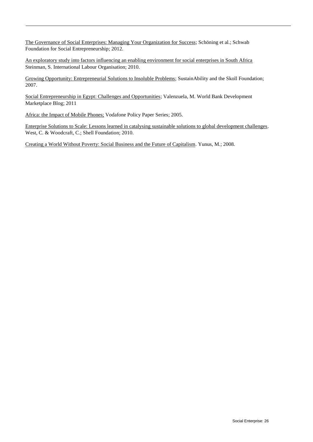The Governance of Social Enterprises: Managing Your Organization for Success; Schöning et al.; Schwab Foundation for Social Entrepreneurship; 2012.

An exploratory study into factors influencing an enabling environment for social enterprises in South Africa Steinman, S. International Labour Organisation; 2010.

Growing Opportunity: Entrepreneurial Solutions to Insoluble Problems; SustainAbility and the Skoll Foundation; 2007.

Social Entrepreneurship in Egypt: Challenges and Opportunities; Valenzuela, M. World Bank Development Marketplace Blog; 2011

Africa: the Impact of Mobile Phones; Vodafone Policy Paper Series; 2005.

Enterprise Solutions to Scale: Lessons learned in catalysing sustainable solutions to global development challenges. West, C. & Woodcraft, C.; Shell Foundation; 2010.

Creating a World Without Poverty: Social Business and the Future of Capitalism. Yunus, M.; 2008.